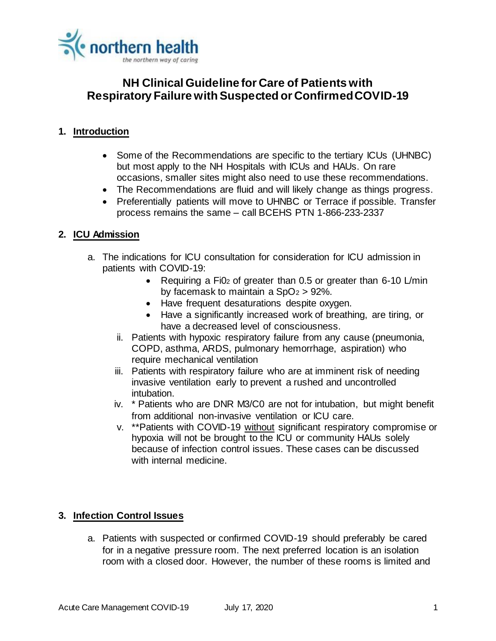

### **1. Introduction**

- Some of the Recommendations are specific to the tertiary ICUs (UHNBC) but most apply to the NH Hospitals with ICUs and HAUs. On rare occasions, smaller sites might also need to use these recommendations.
- The Recommendations are fluid and will likely change as things progress.
- Preferentially patients will move to UHNBC or Terrace if possible. Transfer process remains the same – call BCEHS PTN 1-866-233-2337

#### **2. ICU Admission**

- a. The indications for ICU consultation for consideration for ICU admission in patients with COVID-19:
	- Requiring a Fi0<sub>2</sub> of greater than 0.5 or greater than 6-10 L/min by facemask to maintain a  $SpO<sub>2</sub> > 92$ %.
	- Have frequent desaturations despite oxygen.
	- Have a significantly increased work of breathing, are tiring, or have a decreased level of consciousness.
	- ii. Patients with hypoxic respiratory failure from any cause (pneumonia, COPD, asthma, ARDS, pulmonary hemorrhage, aspiration) who require mechanical ventilation
	- iii. Patients with respiratory failure who are at imminent risk of needing invasive ventilation early to prevent a rushed and uncontrolled intubation.
	- iv. \* Patients who are DNR M3/C0 are not for intubation, but might benefit from additional non-invasive ventilation or ICU care.
	- v. \*\*Patients with COVID-19 without significant respiratory compromise or hypoxia will not be brought to the ICU or community HAUs solely because of infection control issues. These cases can be discussed with internal medicine.

#### **3. Infection Control Issues**

a. Patients with suspected or confirmed COVID-19 should preferably be cared for in a negative pressure room. The next preferred location is an isolation room with a closed door. However, the number of these rooms is limited and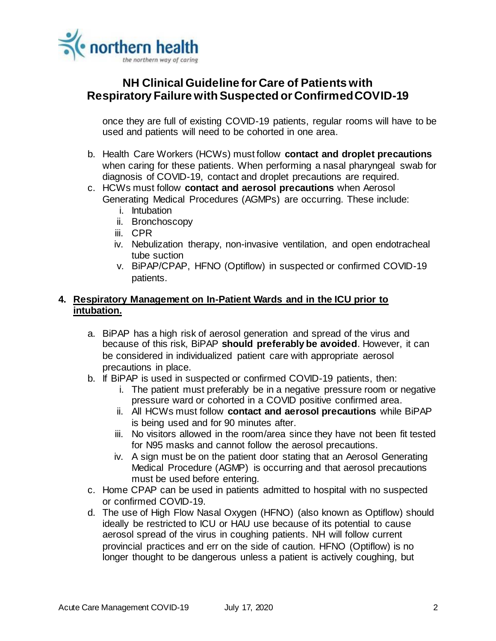

once they are full of existing COVID-19 patients, regular rooms will have to be used and patients will need to be cohorted in one area.

- b. Health Care Workers (HCWs) must follow **contact and droplet precautions** when caring for these patients. When performing a nasal pharyngeal swab for diagnosis of COVID-19, contact and droplet precautions are required.
- c. HCWs must follow **contact and aerosol precautions** when Aerosol Generating Medical Procedures (AGMPs) are occurring. These include:
	- i. Intubation
	- ii. Bronchoscopy
	- iii. CPR
	- iv. Nebulization therapy, non-invasive ventilation, and open endotracheal tube suction
	- v. BiPAP/CPAP, HFNO (Optiflow) in suspected or confirmed COVID-19 patients.

### **4. Respiratory Management on In-Patient Wards and in the ICU prior to intubation.**

- a. BiPAP has a high risk of aerosol generation and spread of the virus and because of this risk, BiPAP **should preferably be avoided**. However, it can be considered in individualized patient care with appropriate aerosol precautions in place.
- b. If BiPAP is used in suspected or confirmed COVID-19 patients, then:
	- i. The patient must preferably be in a negative pressure room or negative pressure ward or cohorted in a COVID positive confirmed area.
	- ii. All HCWs must follow **contact and aerosol precautions** while BiPAP is being used and for 90 minutes after.
	- iii. No visitors allowed in the room/area since they have not been fit tested for N95 masks and cannot follow the aerosol precautions.
	- iv. A sign must be on the patient door stating that an Aerosol Generating Medical Procedure (AGMP) is occurring and that aerosol precautions must be used before entering.
- c. Home CPAP can be used in patients admitted to hospital with no suspected or confirmed COVID-19.
- d. The use of High Flow Nasal Oxygen (HFNO) (also known as Optiflow) should ideally be restricted to ICU or HAU use because of its potential to cause aerosol spread of the virus in coughing patients. NH will follow current provincial practices and err on the side of caution. HFNO (Optiflow) is no longer thought to be dangerous unless a patient is actively coughing, but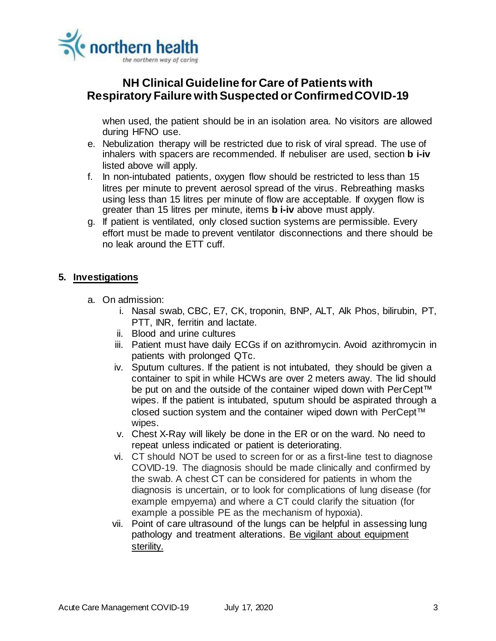

when used, the patient should be in an isolation area. No visitors are allowed during HFNO use.

- e. Nebulization therapy will be restricted due to risk of viral spread. The use of inhalers with spacers are recommended. If nebuliser are used, section **b i-iv** listed above will apply.
- f. In non-intubated patients, oxygen flow should be restricted to less than 15 litres per minute to prevent aerosol spread of the virus. Rebreathing masks using less than 15 litres per minute of flow are acceptable. If oxygen flow is greater than 15 litres per minute, items **b i-iv** above must apply.
- g. If patient is ventilated, only closed suction systems are permissible. Every effort must be made to prevent ventilator disconnections and there should be no leak around the ETT cuff.

### **5. Investigations**

- a. On admission:
	- i. Nasal swab, CBC, E7, CK, troponin, BNP, ALT, Alk Phos, bilirubin, PT, PTT, INR, ferritin and lactate.
	- ii. Blood and urine cultures
	- iii. Patient must have daily ECGs if on azithromycin. Avoid azithromycin in patients with prolonged QTc.
	- iv. Sputum cultures. If the patient is not intubated, they should be given a container to spit in while HCWs are over 2 meters away. The lid should be put on and the outside of the container wiped down with PerCept™ wipes. If the patient is intubated, sputum should be aspirated through a closed suction system and the container wiped down with PerCept™ wipes.
	- v. Chest X-Ray will likely be done in the ER or on the ward. No need to repeat unless indicated or patient is deteriorating.
	- vi. CT should NOT be used to screen for or as a first-line test to diagnose COVID-19. The diagnosis should be made clinically and confirmed by the swab. A chest CT can be considered for patients in whom the diagnosis is uncertain, or to look for complications of lung disease (for example empyema) and where a CT could clarify the situation (for example a possible PE as the mechanism of hypoxia).
	- vii. Point of care ultrasound of the lungs can be helpful in assessing lung pathology and treatment alterations. Be vigilant about equipment sterility.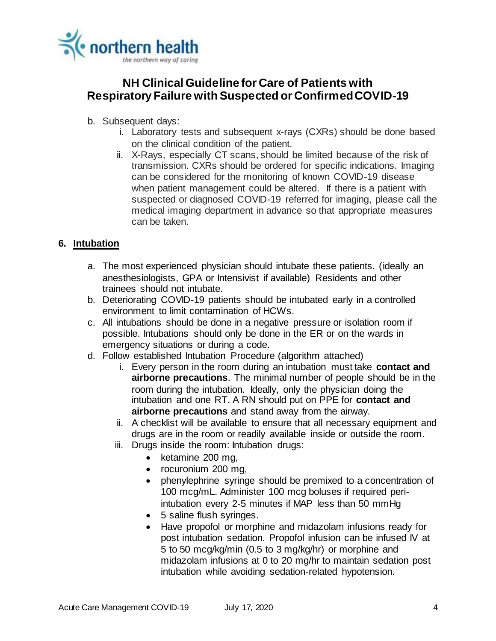

- b. Subsequent days:
	- i. Laboratory tests and subsequent x-rays (CXRs) should be done based on the clinical condition of the patient.
	- ii. X-Rays, especially CT scans, should be limited because of the risk of transmission. CXRs should be ordered for specific indications. Imaging can be considered for the monitoring of known COVID-19 disease when patient management could be altered. If there is a patient with suspected or diagnosed COVID-19 referred for imaging, please call the medical imaging department in advance so that appropriate measures can be taken.

### **6. Intubation**

- a. The most experienced physician should intubate these patients. (ideally an anesthesiologists, GPA or Intensivist if available) Residents and other trainees should not intubate.
- b. Deteriorating COVID-19 patients should be intubated early in a controlled environment to limit contamination of HCWs.
- c. All intubations should be done in a negative pressure or isolation room if possible. Intubations should only be done in the ER or on the wards in emergency situations or during a code.
- d. Follow established Intubation Procedure (algorithm attached)
	- i. Every person in the room during an intubation must take **contact and airborne precautions**. The minimal number of people should be in the room during the intubation. Ideally, only the physician doing the intubation and one RT. A RN should put on PPE for **contact and airborne precautions** and stand away from the airway.
	- ii. A checklist will be available to ensure that all necessary equipment and drugs are in the room or readily available inside or outside the room.
	- iii. Drugs inside the room: Intubation drugs:
		- $\bullet$  ketamine 200 mg,
		- rocuronium 200 mg,
		- phenylephrine syringe should be premixed to a concentration of 100 mcg/mL. Administer 100 mcg boluses if required periintubation every 2-5 minutes if MAP less than 50 mmHg
		- 5 saline flush syringes.
		- Have propofol or morphine and midazolam infusions ready for post intubation sedation. Propofol infusion can be infused IV at 5 to 50 mcg/kg/min (0.5 to 3 mg/kg/hr) or morphine and midazolam infusions at 0 to 20 mg/hr to maintain sedation post intubation while avoiding sedation-related hypotension.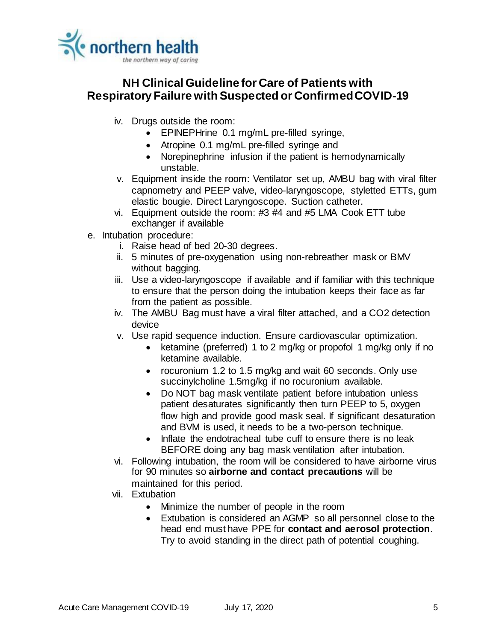

- iv. Drugs outside the room:
	- EPINEPHrine 0.1 mg/mL pre-filled syringe,
	- Atropine 0.1 mg/mL pre-filled syringe and
	- Norepinephrine infusion if the patient is hemodynamically unstable.
- v. Equipment inside the room: Ventilator set up, AMBU bag with viral filter capnometry and PEEP valve, video-laryngoscope, styletted ETTs, gum elastic bougie. Direct Laryngoscope. Suction catheter.
- vi. Equipment outside the room: #3 #4 and #5 LMA Cook ETT tube exchanger if available
- e. Intubation procedure:
	- i. Raise head of bed 20-30 degrees.
	- ii. 5 minutes of pre-oxygenation using non-rebreather mask or BMV without bagging.
	- iii. Use a video-laryngoscope if available and if familiar with this technique to ensure that the person doing the intubation keeps their face as far from the patient as possible.
	- iv. The AMBU Bag must have a viral filter attached, and a CO2 detection device
	- v. Use rapid sequence induction. Ensure cardiovascular optimization.
		- ketamine (preferred) 1 to 2 mg/kg or propofol 1 mg/kg only if no ketamine available.
		- rocuronium 1.2 to 1.5 mg/kg and wait 60 seconds. Only use succinylcholine 1.5mg/kg if no rocuronium available.
		- Do NOT bag mask ventilate patient before intubation unless patient desaturates significantly then turn PEEP to 5, oxygen flow high and provide good mask seal. If significant desaturation and BVM is used, it needs to be a two-person technique.
		- Inflate the endotracheal tube cuff to ensure there is no leak BEFORE doing any bag mask ventilation after intubation.
	- vi. Following intubation, the room will be considered to have airborne virus for 90 minutes so **airborne and contact precautions** will be maintained for this period.
	- vii. Extubation
		- Minimize the number of people in the room
		- Extubation is considered an AGMP so all personnel close to the head end must have PPE for **contact and aerosol protection**. Try to avoid standing in the direct path of potential coughing.